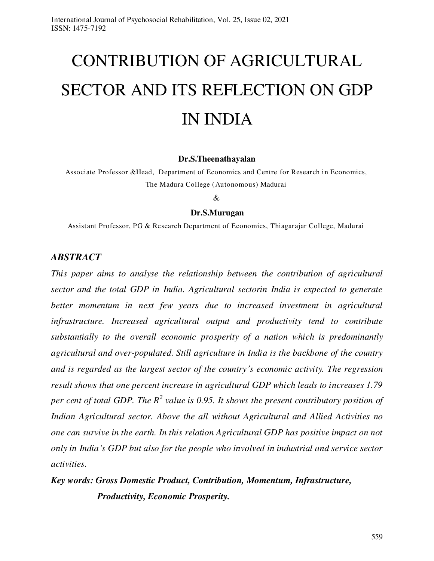# CONTRIBUTION OF AGRICULTURAL SECTOR AND ITS REFLECTION ON GDP IN INDIA

#### **Dr.S.Theenathayalan**

Associate Professor &Head, Department of Economics and Centre for Research in Economics, The Madura College (Autonomous) Madurai

#### &

#### **Dr.S.Murugan**

Assistant Professor, PG & Research Department of Economics, Thiagarajar College, Madurai

#### *ABSTRACT*

*This paper aims to analyse the relationship between the contribution of agricultural sector and the total GDP in India. Agricultural sectorin India is expected to generate*  better momentum in next few years due to increased investment in agricultural *infrastructure. Increased agricultural output and productivity tend to contribute substantially to the overall economic prosperity of a nation which is predominantly agricultural and over-populated. Still agriculture in India is the backbone of the country and is regarded as the largest sector of the country's economic activity. The regression result shows that one percent increase in agricultural GDP which leads to increases 1.79*  per cent of total GDP. The  $R^2$  value is 0.95. It shows the present contributory position of *Indian Agricultural sector. Above the all without Agricultural and Allied Activities no one can survive in the earth. In this relation Agricultural GDP has positive impact on not only in India's GDP but also for the people who involved in industrial and service sector activities.* 

## *Key words: Gross Domestic Product, Contribution, Momentum, Infrastructure, Productivity, Economic Prosperity.*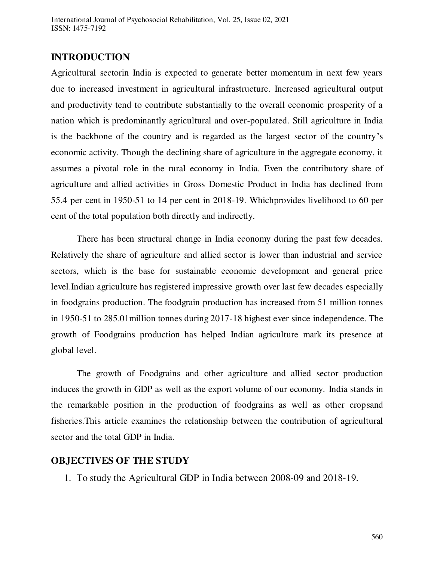## **INTRODUCTION**

Agricultural sectorin India is expected to generate better momentum in next few years due to increased investment in agricultural infrastructure. Increased agricultural output and productivity tend to contribute substantially to the overall economic prosperity of a nation which is predominantly agricultural and over-populated. Still agriculture in India is the backbone of the country and is regarded as the largest sector of the country's economic activity. Though the declining share of agriculture in the aggregate economy, it assumes a pivotal role in the rural economy in India. Even the contributory share of agriculture and allied activities in Gross Domestic Product in India has declined from 55.4 per cent in 1950-51 to 14 per cent in 2018-19. Whichprovides livelihood to 60 per cent of the total population both directly and indirectly.

There has been structural change in India economy during the past few decades. Relatively the share of agriculture and allied sector is lower than industrial and service sectors, which is the base for sustainable economic development and general price level.Indian agriculture has registered impressive growth over last few decades especially in foodgrains production. The foodgrain production has increased from 51 million tonnes in 1950-51 to 285.01million tonnes during 2017-18 highest ever since independence. The growth of Foodgrains production has helped Indian agriculture mark its presence at global level.

The growth of Foodgrains and other agriculture and allied sector production induces the growth in GDP as well as the export volume of our economy. India stands in the remarkable position in the production of foodgrains as well as other cropsand fisheries.This article examines the relationship between the contribution of agricultural sector and the total GDP in India.

## **OBJECTIVES OF THE STUDY**

1. To study the Agricultural GDP in India between 2008-09 and 2018-19.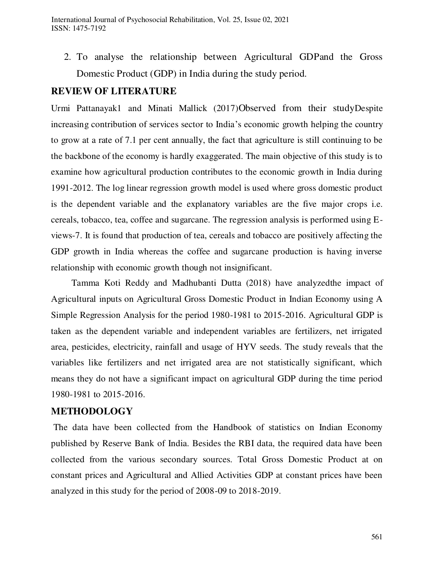2. To analyse the relationship between Agricultural GDPand the Gross Domestic Product (GDP) in India during the study period.

## **REVIEW OF LITERATURE**

Urmi Pattanayak1 and Minati Mallick (2017)Observed from their studyDespite increasing contribution of services sector to India's economic growth helping the country to grow at a rate of 7.1 per cent annually, the fact that agriculture is still continuing to be the backbone of the economy is hardly exaggerated. The main objective of this study is to examine how agricultural production contributes to the economic growth in India during 1991-2012. The log linear regression growth model is used where gross domestic product is the dependent variable and the explanatory variables are the five major crops i.e. cereals, tobacco, tea, coffee and sugarcane. The regression analysis is performed using Eviews-7. It is found that production of tea, cereals and tobacco are positively affecting the GDP growth in India whereas the coffee and sugarcane production is having inverse relationship with economic growth though not insignificant.

Tamma Koti Reddy and Madhubanti Dutta (2018) have analyzedthe impact of Agricultural inputs on Agricultural Gross Domestic Product in Indian Economy using A Simple Regression Analysis for the period 1980-1981 to 2015-2016. Agricultural GDP is taken as the dependent variable and independent variables are fertilizers, net irrigated area, pesticides, electricity, rainfall and usage of HYV seeds. The study reveals that the variables like fertilizers and net irrigated area are not statistically significant, which means they do not have a significant impact on agricultural GDP during the time period 1980-1981 to 2015-2016.

## **METHODOLOGY**

 The data have been collected from the Handbook of statistics on Indian Economy published by Reserve Bank of India. Besides the RBI data, the required data have been collected from the various secondary sources. Total Gross Domestic Product at on constant prices and Agricultural and Allied Activities GDP at constant prices have been analyzed in this study for the period of 2008-09 to 2018-2019.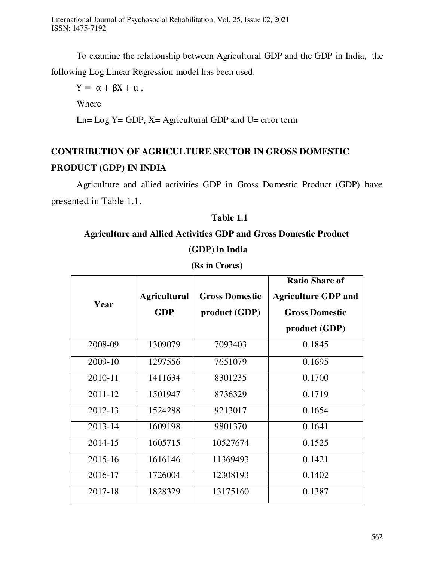To examine the relationship between Agricultural GDP and the GDP in India, the following Log Linear Regression model has been used.

 $Y = \alpha + \beta X + u$ ,

Where

Ln=  $Log Y = GDP$ ,  $X = Agricultural GDP$  and  $U= error$  term

# **CONTRIBUTION OF AGRICULTURE SECTOR IN GROSS DOMESTIC PRODUCT (GDP) IN INDIA**

Agriculture and allied activities GDP in Gross Domestic Product (GDP) have presented in Table 1.1.

## **Table 1.1**

# **Agriculture and Allied Activities GDP and Gross Domestic Product (GDP) in India**

| Year        | <b>Agricultural</b><br><b>GDP</b> | <b>Gross Domestic</b><br>product (GDP) | <b>Ratio Share of</b><br><b>Agriculture GDP and</b><br><b>Gross Domestic</b><br>product (GDP) |
|-------------|-----------------------------------|----------------------------------------|-----------------------------------------------------------------------------------------------|
| 2008-09     | 1309079                           | 7093403                                | 0.1845                                                                                        |
| 2009-10     | 1297556                           | 7651079                                | 0.1695                                                                                        |
| 2010-11     | 1411634                           | 8301235                                | 0.1700                                                                                        |
| 2011-12     | 1501947                           | 8736329                                | 0.1719                                                                                        |
| 2012-13     | 1524288                           | 9213017                                | 0.1654                                                                                        |
| $2013 - 14$ | 1609198                           | 9801370                                | 0.1641                                                                                        |
| 2014-15     | 1605715                           | 10527674                               | 0.1525                                                                                        |
| $2015 - 16$ | 1616146                           | 11369493                               | 0.1421                                                                                        |
| 2016-17     | 1726004                           | 12308193                               | 0.1402                                                                                        |
| 2017-18     | 1828329                           | 13175160                               | 0.1387                                                                                        |

**(Rs in Crores)**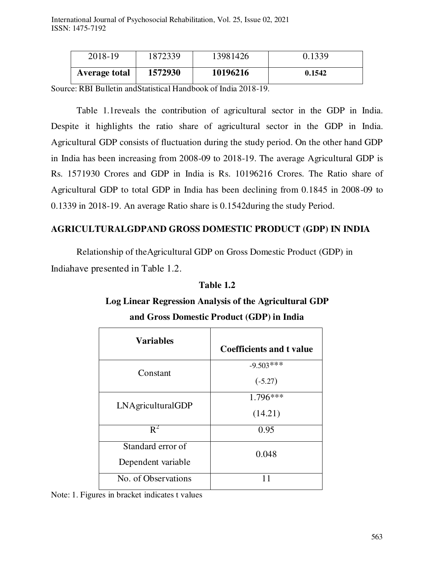| 2018-19       | 1872339 | 13981426 | 0.1339 |
|---------------|---------|----------|--------|
| Average total | 1572930 | 10196216 | 0.1542 |

Source: RBI Bulletin andStatistical Handbook of India 2018-19.

Table 1.1reveals the contribution of agricultural sector in the GDP in India. Despite it highlights the ratio share of agricultural sector in the GDP in India. Agricultural GDP consists of fluctuation during the study period. On the other hand GDP in India has been increasing from 2008-09 to 2018-19. The average Agricultural GDP is Rs. 1571930 Crores and GDP in India is Rs. 10196216 Crores. The Ratio share of Agricultural GDP to total GDP in India has been declining from 0.1845 in 2008-09 to 0.1339 in 2018-19. An average Ratio share is 0.1542during the study Period.

## **AGRICULTURALGDPAND GROSS DOMESTIC PRODUCT (GDP) IN INDIA**

Relationship of theAgricultural GDP on Gross Domestic Product (GDP) in Indiahave presented in Table 1.2.

## **Table 1.2**

## **Log Linear Regression Analysis of the Agricultural GDP and Gross Domestic Product (GDP) in India**

| <b>Variables</b>                        | <b>Coefficients and t value</b> |
|-----------------------------------------|---------------------------------|
| Constant                                | $-9.503***$<br>$(-5.27)$        |
| LNAgriculturalGDP                       | $1.796***$<br>(14.21)           |
| $R^2$                                   | 0.95                            |
| Standard error of<br>Dependent variable | 0.048                           |
| No. of Observations                     |                                 |

Note: 1. Figures in bracket indicates t values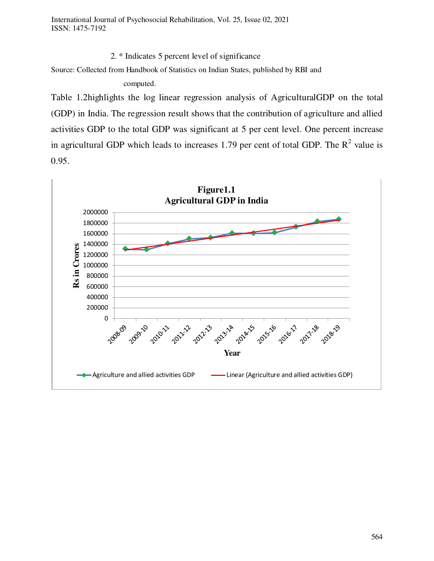2. \* Indicates 5 percent level of significance

Source: Collected from Handbook of Statistics on Indian States, published by RBI and

computed.

Table 1.2highlights the log linear regression analysis of AgriculturalGDP on the total (GDP) in India. The regression result shows that the contribution of agriculture and allied activities GDP to the total GDP was significant at 5 per cent level. One percent increase in agricultural GDP which leads to increases 1.79 per cent of total GDP. The  $R^2$  value is 0.95.

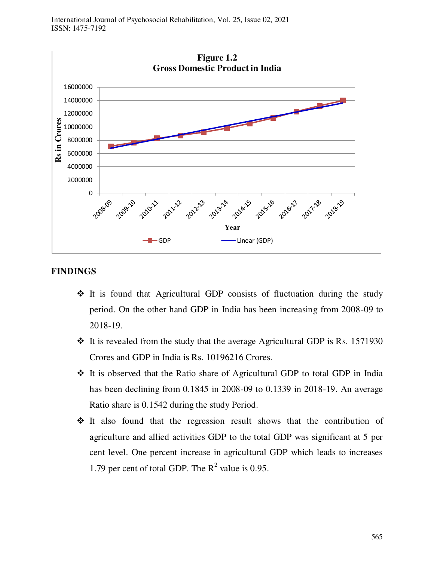International Journal of Psychosocial Rehabilitation, Vol. 25, Issue 02, 2021 ISSN: 1475-7192



## **FINDINGS**

- $\div$  It is found that Agricultural GDP consists of fluctuation during the study period. On the other hand GDP in India has been increasing from 2008-09 to 2018-19.
- $\cdot$  It is revealed from the study that the average Agricultural GDP is Rs. 1571930 Crores and GDP in India is Rs. 10196216 Crores.
- It is observed that the Ratio share of Agricultural GDP to total GDP in India has been declining from 0.1845 in 2008-09 to 0.1339 in 2018-19. An average Ratio share is 0.1542 during the study Period.
- $\cdot \cdot$  It also found that the regression result shows that the contribution of agriculture and allied activities GDP to the total GDP was significant at 5 per cent level. One percent increase in agricultural GDP which leads to increases 1.79 per cent of total GDP. The  $R^2$  value is 0.95.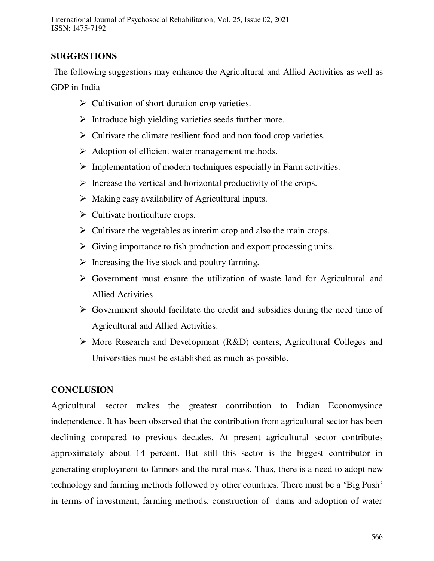## **SUGGESTIONS**

 The following suggestions may enhance the Agricultural and Allied Activities as well as GDP in India

- $\triangleright$  Cultivation of short duration crop varieties.
- $\triangleright$  Introduce high yielding varieties seeds further more.
- $\triangleright$  Cultivate the climate resilient food and non food crop varieties.
- $\triangleright$  Adoption of efficient water management methods.
- $\triangleright$  Implementation of modern techniques especially in Farm activities.
- $\triangleright$  Increase the vertical and horizontal productivity of the crops.
- $\triangleright$  Making easy availability of Agricultural inputs.
- $\triangleright$  Cultivate horticulture crops.
- $\triangleright$  Cultivate the vegetables as interim crop and also the main crops.
- $\triangleright$  Giving importance to fish production and export processing units.
- $\triangleright$  Increasing the live stock and poultry farming.
- $\triangleright$  Government must ensure the utilization of waste land for Agricultural and Allied Activities
- $\triangleright$  Government should facilitate the credit and subsidies during the need time of Agricultural and Allied Activities.
- $\triangleright$  More Research and Development (R&D) centers, Agricultural Colleges and Universities must be established as much as possible.

## **CONCLUSION**

Agricultural sector makes the greatest contribution to Indian Economysince independence. It has been observed that the contribution from agricultural sector has been declining compared to previous decades. At present agricultural sector contributes approximately about 14 percent. But still this sector is the biggest contributor in generating employment to farmers and the rural mass. Thus, there is a need to adopt new technology and farming methods followed by other countries. There must be a 'Big Push' in terms of investment, farming methods, construction of dams and adoption of water